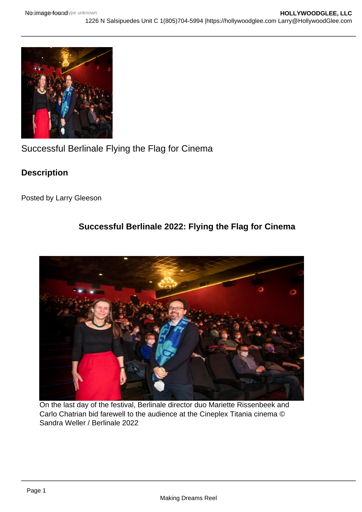Successful Berlinale Flying the Flag for Cinema

**Description** 

Posted by Larry Gleeson

Successful Berlinale 2022: Flying the Flag for Cinema

On the last day of the festival, Berlinale director duo Mariette Rissenbeek and Carlo Chatrian bid farewell to the audience at the Cineplex Titania cinema © Sandra Weller / Berlinale 2022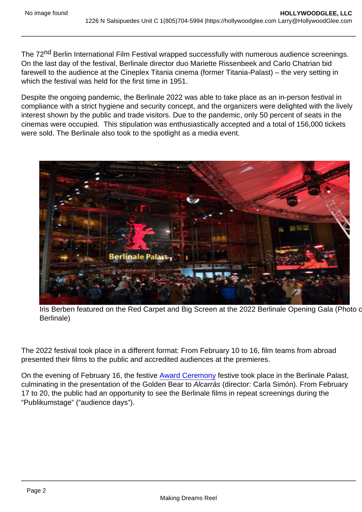The 72<sup>nd</sup> Berlin International Film Festival wrapped successfully with numerous audience screenings. On the last day of the festival, Berlinale director duo Mariette Rissenbeek and Carlo Chatrian bid farewell to the audience at the Cineplex Titania cinema (former Titania-Palast) – the very setting in which the festival was held for the first time in 1951.

Despite the ongoing pandemic, the Berlinale 2022 was able to take place as an in-person festival in compliance with a strict hygiene and security concept, and the organizers were delighted with the lively interest shown by the public and trade visitors. Due to the pandemic, only 50 percent of seats in the cinemas were occupied. This stipulation was enthusiastically accepted and a total of 156,000 tickets were sold. The Berlinale also took to the spotlight as a media event.

Iris Berben featured on the Red Carpet and Big Screen at the 2022 Berlinale Opening Gala (Photo c Berlinale)

The 2022 festival took place in a different format: From February 10 to 16, film teams from abroad presented their films to the public and accredited audiences at the premieres.

On the evening of February 16, the festive [Award Ceremony](https://hollywoodglee.com/wp-content/uploads/2022/02/berlinale-awards-20221.pdf) festive took place in the Berlinale Palast, culminating in the presentation of the Golden Bear to Alcarràs (director: Carla Simón). From February 17 to 20, the public had an opportunity to see the Berlinale films in repeat screenings during the "Publikumstage" ("audience days").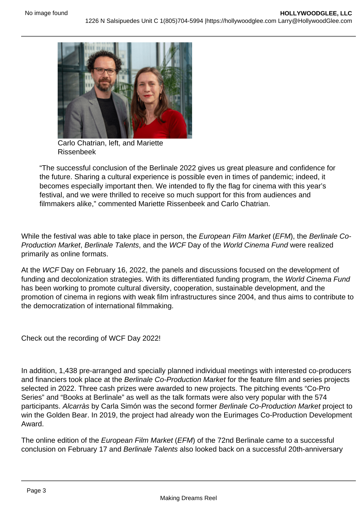Carlo Chatrian, left, and Mariette Rissenbeek

"The successful conclusion of the Berlinale 2022 gives us great pleasure and confidence for the future. Sharing a cultural experience is possible even in times of pandemic; indeed, it becomes especially important then. We intended to fly the flag for cinema with this year's festival, and we were thrilled to receive so much support for this from audiences and filmmakers alike," commented Mariette Rissenbeek and Carlo Chatrian.

While the festival was able to take place in person, the European Film Market (EFM), the Berlinale Co-Production Market, Berlinale Talents, and the WCF Day of the World Cinema Fund were realized primarily as online formats.

At the WCF Day on February 16, 2022, the panels and discussions focused on the development of funding and decolonization strategies. With its differentiated funding program, the World Cinema Fund has been working to promote cultural diversity, cooperation, sustainable development, and the promotion of cinema in regions with weak film infrastructures since 2004, and thus aims to contribute to the democratization of international filmmaking.

Check out the recording of WCF Day 2022!

In addition, 1,438 pre-arranged and specially planned individual meetings with interested co-producers and financiers took place at the Berlinale Co-Production Market for the feature film and series projects selected in 2022. Three cash prizes were awarded to new projects. The pitching events "Co-Pro Series" and "Books at Berlinale" as well as the talk formats were also very popular with the 574 participants. Alcarràs by Carla Simón was the second former Berlinale Co-Production Market project to win the Golden Bear. In 2019, the project had already won the Eurimages Co-Production Development Award.

The online edition of the European Film Market (EFM) of the 72nd Berlinale came to a successful conclusion on February 17 and Berlinale Talents also looked back on a successful 20th-anniversary